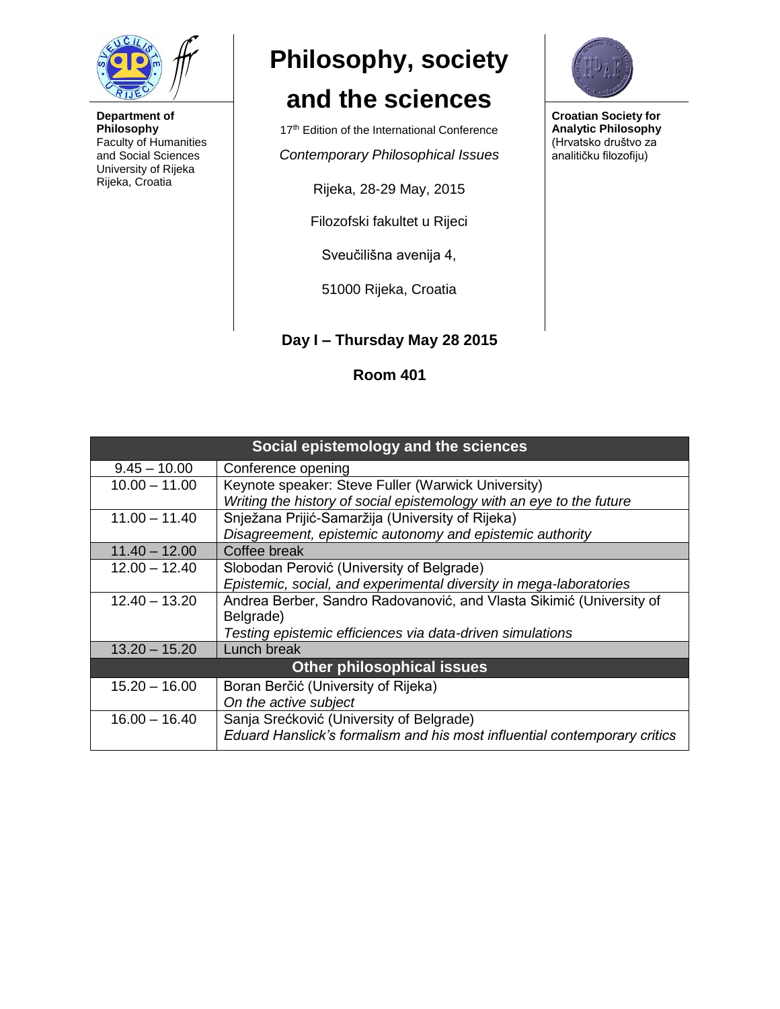

**Department of Philosophy** Faculty of Humanities and Social Sciences University of Rijeka Rijeka, Croatia

## **Philosophy, society**

## **and the sciences**

17<sup>th</sup> Edition of the International Conference

*Contemporary Philosophical Issues*

Rijeka, 28-29 May, 2015

Filozofski fakultet u Rijeci

Sveučilišna avenija 4,

51000 Rijeka, Croatia

**Day I – Thursday May 28 2015**

**Room 401** 



**Croatian Society for Analytic Philosophy** (Hrvatsko društvo za analitičku filozofiju)

| Social epistemology and the sciences |                                                                           |  |
|--------------------------------------|---------------------------------------------------------------------------|--|
| $9.45 - 10.00$                       | Conference opening                                                        |  |
| $10.00 - 11.00$                      | Keynote speaker: Steve Fuller (Warwick University)                        |  |
|                                      | Writing the history of social epistemology with an eye to the future      |  |
| $11.00 - 11.40$                      | Snježana Prijić-Samaržija (University of Rijeka)                          |  |
|                                      | Disagreement, epistemic autonomy and epistemic authority                  |  |
| $11.40 - 12.00$                      | Coffee break                                                              |  |
| $12.00 - 12.40$                      | Slobodan Perović (University of Belgrade)                                 |  |
|                                      | Epistemic, social, and experimental diversity in mega-laboratories        |  |
| $12.40 - 13.20$                      | Andrea Berber, Sandro Radovanović, and Vlasta Sikimić (University of      |  |
|                                      | Belgrade)                                                                 |  |
|                                      | Testing epistemic efficiences via data-driven simulations                 |  |
| $13.20 - 15.20$                      | Lunch break                                                               |  |
| <b>Other philosophical issues</b>    |                                                                           |  |
| $15.20 - 16.00$                      | Boran Berčić (University of Rijeka)                                       |  |
|                                      | On the active subject                                                     |  |
| $16.00 - 16.40$                      | Sanja Srećković (University of Belgrade)                                  |  |
|                                      | Eduard Hanslick's formalism and his most influential contemporary critics |  |